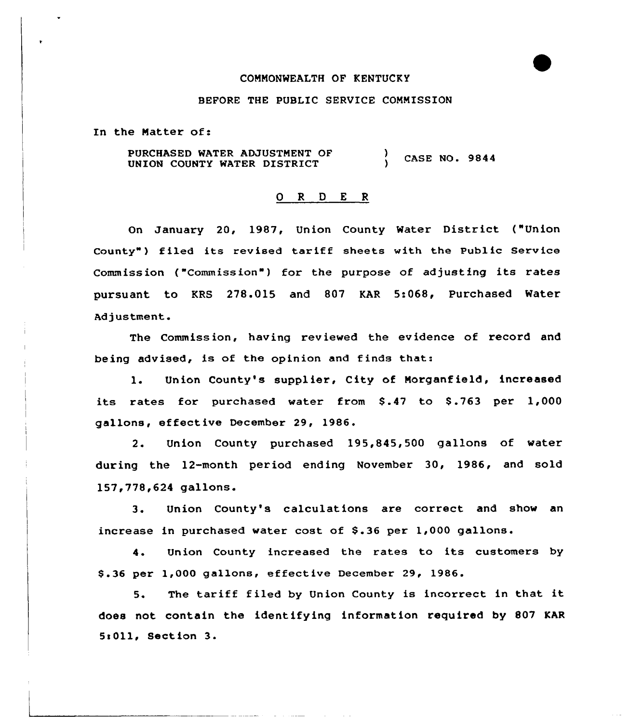#### CONNONWEALTH OF KENTUCKY

#### BEFORE THE PUBLIC SERVICE CONNISSION

In the Natter of:

PURCHASED WATER ADJUSTNENT OF UNION COUNTY WATER DISTRICT  $\frac{1}{2}$  CASE NO. 9844

## 0 R <sup>D</sup> E <sup>R</sup>

On January 20, 1987, Union County Water District ("Union County") filed its revised tariff sheets with the Public Service Commission ("Commission") for the purpose of adjusting its rates pursuant. to KRS 278.015 and 807 KAR 5:068, Purchased Water Adjustment.

The Commission, having reviewed the evidence of record and being advised, is of the opinion and finds that:

1. Union County's supplier, City of Norganf ield, increased its rates for purchased water from  $$.47$  to  $$.763$  per  $1,000$ gallons, effective December 29, 1986.

2. Union County purchased 195,845,500 gallons of water during the 12-month period ending November 30, 1986, and sold 157,778,624 gallons.

3. Union County's calculations are correct and show an increase in purchased water cost of \$.36 per 1,000 gallons.

4. Union County increased the rates to its customers by \$ .36 per 1,000 gallons, effective December 29, 1986.

5. The tariff filed by Union County is incorrect in that it does not contain the identifying information required by 807 KAR 5IOll, Section 3.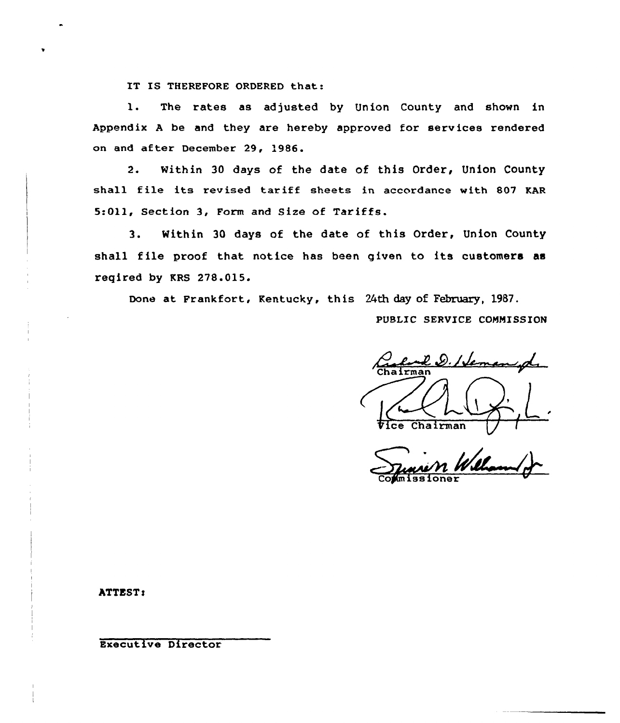IT IS THEREFORE ORDERED that:

 $\mathbf{1}$ . The rates as adjusted by Union County and shown in Appendix A be and they are hereby approved for services rendered on and after December 29, 1986.

 $2.$ Within 30 days of the date of this Order, Union County shall file its revised tariff sheets in accordance with 807 KAR 5:011, Section 3, Form and Size of Tariffs.

Within 30 days of the date of this Order, Union County  $3$ shall file proof that notice has been given to its customers as regired by KRS 278.015.

Done at Frankfort, Kentucky, this 24th day of February, 1987.

PUBLIC SERVICE COMMISSION

l.D. Heman Chairman

ATTEST:

Executive Director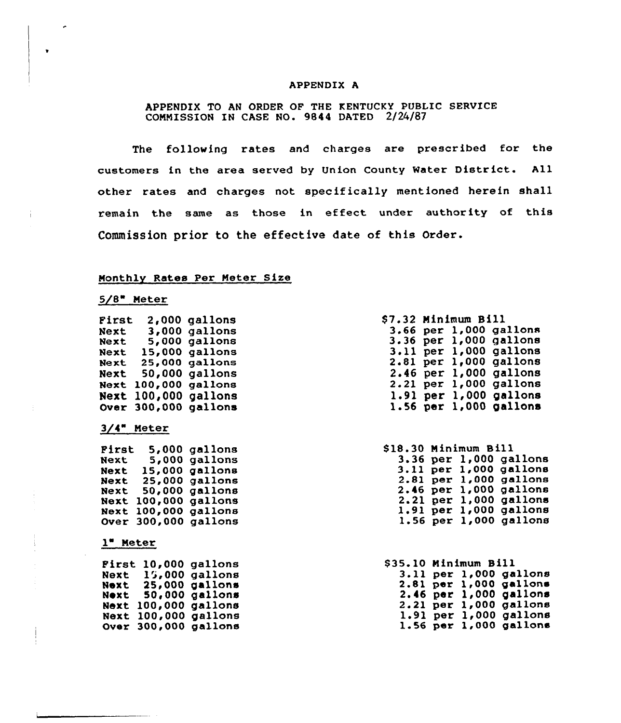#### APPENDIX A

## APPENDIX TO AN ORDER OF THE KENTUCKY PUBLIC SERVICE COMMISSION IN CASE NO. 9844 DATED 2/24/87

The following rates and charges are prescribed for the customers in the area served by Union County Water District. All other rates and charges not spec ifically mentioned herein shall remain the same as those in effect under authority of this Commission prior to the effective date of this Order.

## Monthly Rates Per Neter Size

# $5/8$  Meter

| First       | 2,000         | gallons |
|-------------|---------------|---------|
| Next        | 3,000         | qallons |
| Next        | 5,000         | gallons |
| Next        | <b>15,000</b> | gallons |
| Next        | <b>25,000</b> | gallons |
| Next        | 50,000        | gallons |
| Next        | 100,000       | qallons |
| Next        | 100,000       | gallons |
| <b>Over</b> | 300,000       | gallons |
|             |               |         |

## 3/4" Neter

| Pirst       | 5,000         | gallons |
|-------------|---------------|---------|
| Next        | 5,000         | gallons |
| Next        | <b>15,000</b> | gallons |
| Next        | <b>25,000</b> | gallons |
| Next        | 50,000        | gallons |
| Next        | 100,000       | gallons |
| Next        | 100,000       | gallons |
| <b>Over</b> | 300,000       | gallons |

#### 1 Neter

| First |         | 10,000 gallons        |
|-------|---------|-----------------------|
| Next  |         | $15,000$ gallons      |
| Next  |         | <b>25,000 gallons</b> |
| Noxt  |         | <b>50,000 gallons</b> |
| Next  | 100,000 | gallons               |
| Next  | 100,000 | gallons               |
| Over  | 300,000 | gallons               |

|          | \$7.32 Minimum Bill |                        |
|----------|---------------------|------------------------|
|          |                     | 3.66 per 1,000 gallons |
|          |                     | 3.36 per 1,000 gallons |
|          |                     | 3.11 per 1,000 gallons |
| 2.81 per |                     | $1,000$ gallons        |
| 2.46 per |                     | $1,000$ gallons        |
| 2.21 per |                     | $1,000$ gallons        |
| 1.91 per |                     | $1,000$ gallons        |
|          |                     | 1.56 per 1,000 gallons |

|  | \$18.30 Minimum Bill<br>$3.36$ per $1,000$ gallons<br>3.11 per 1,000 gallons<br>2.81 per 1,000 gallons<br>2.46 per 1,000 gallons<br>2.21 per 1,000 gallons<br>1.91 per 1,000 gallons<br>$1.56$ per $1,000$ gallons |
|--|--------------------------------------------------------------------------------------------------------------------------------------------------------------------------------------------------------------------|

| <b>\$35.10 Minimum Bill</b> |  |                            |
|-----------------------------|--|----------------------------|
|                             |  | 3.11 per 1,000 gallons     |
|                             |  | 2.81 per 1,000 gallons     |
|                             |  | 2.46 per 1,000 gallons     |
|                             |  | 2.21 per 1,000 gallons     |
|                             |  | 1.91 per 1,000 gallons     |
|                             |  | $1.56$ per $1,000$ gallons |
|                             |  |                            |